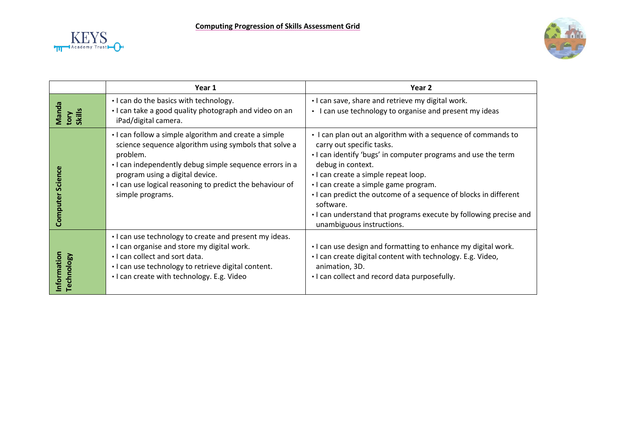



|                            | Year 1                                                                                                                                                                                                                                                                                                    | Year 2                                                                                                                                                                                                                                                                                                                                                                                                                                              |
|----------------------------|-----------------------------------------------------------------------------------------------------------------------------------------------------------------------------------------------------------------------------------------------------------------------------------------------------------|-----------------------------------------------------------------------------------------------------------------------------------------------------------------------------------------------------------------------------------------------------------------------------------------------------------------------------------------------------------------------------------------------------------------------------------------------------|
| Manda<br>tory<br>Skills    | . I can do the basics with technology.<br>. I can take a good quality photograph and video on an<br>iPad/digital camera.                                                                                                                                                                                  | . I can save, share and retrieve my digital work.<br>• I can use technology to organise and present my ideas                                                                                                                                                                                                                                                                                                                                        |
| <b>Science</b><br>Computer | • I can follow a simple algorithm and create a simple<br>science sequence algorithm using symbols that solve a<br>problem.<br>· I can independently debug simple sequence errors in a<br>program using a digital device.<br>. I can use logical reasoning to predict the behaviour of<br>simple programs. | • I can plan out an algorithm with a sequence of commands to<br>carry out specific tasks.<br>. I can identify 'bugs' in computer programs and use the term<br>debug in context.<br>· I can create a simple repeat loop.<br>· I can create a simple game program.<br>. I can predict the outcome of a sequence of blocks in different<br>software.<br>. I can understand that programs execute by following precise and<br>unambiguous instructions. |
| Information<br>Technology  | . I can use technology to create and present my ideas.<br>. I can organise and store my digital work.<br>. I can collect and sort data.<br>· I can use technology to retrieve digital content.<br>. I can create with technology. E.g. Video                                                              | . I can use design and formatting to enhance my digital work.<br>. I can create digital content with technology. E.g. Video,<br>animation, 3D.<br>. I can collect and record data purposefully.                                                                                                                                                                                                                                                     |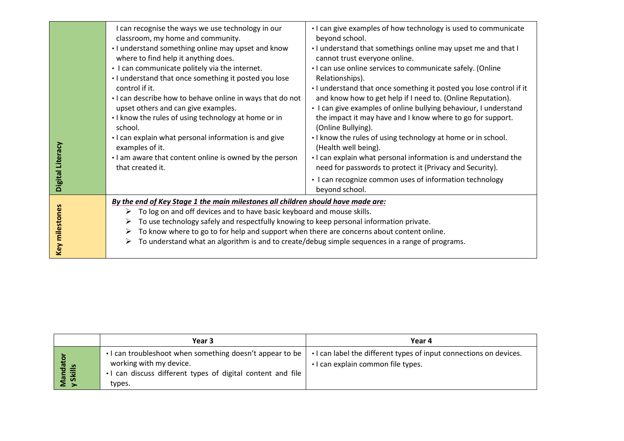| Digital Literacy | I can recognise the ways we use technology in our<br>classroom, my home and community.<br>. I understand something online may upset and know<br>where to find help it anything does.<br>• I can communicate politely via the internet.<br>. I understand that once something it posted you lose<br>control if it.<br>. I can describe how to behave online in ways that do not<br>upset others and can give examples.<br>• I know the rules of using technology at home or in<br>school.<br>. I can explain what personal information is and give<br>examples of it.<br>I am aware that content online is owned by the person<br>that created it. | • I can give examples of how technology is used to communicate<br>beyond school.<br>. I understand that somethings online may upset me and that I<br>cannot trust everyone online.<br>. I can use online services to communicate safely. (Online<br>Relationships).<br>. I understand that once something it posted you lose control if it<br>and know how to get help if I need to. (Online Reputation).<br>• I can give examples of online bullying behaviour, I understand<br>the impact it may have and I know where to go for support.<br>(Online Bullying).<br>. I know the rules of using technology at home or in school.<br>(Health well being).<br>. I can explain what personal information is and understand the<br>need for passwords to protect it (Privacy and Security).<br>• I can recognize common uses of information technology<br>beyond school. |
|------------------|---------------------------------------------------------------------------------------------------------------------------------------------------------------------------------------------------------------------------------------------------------------------------------------------------------------------------------------------------------------------------------------------------------------------------------------------------------------------------------------------------------------------------------------------------------------------------------------------------------------------------------------------------|-----------------------------------------------------------------------------------------------------------------------------------------------------------------------------------------------------------------------------------------------------------------------------------------------------------------------------------------------------------------------------------------------------------------------------------------------------------------------------------------------------------------------------------------------------------------------------------------------------------------------------------------------------------------------------------------------------------------------------------------------------------------------------------------------------------------------------------------------------------------------|
| Key milestones   | By the end of Key Stage 1 the main milestones all children should have made are:<br>To log on and off devices and to have basic keyboard and mouse skills.<br>➤<br>To use technology safely and respectfully knowing to keep personal information private.<br>➤<br>To know where to go to for help and support when there are concerns about content online.<br>➤<br>To understand what an algorithm is and to create/debug simple sequences in a range of programs.<br>➤                                                                                                                                                                         |                                                                                                                                                                                                                                                                                                                                                                                                                                                                                                                                                                                                                                                                                                                                                                                                                                                                       |

|                    | Year 3                                                                                                                                                         | Year 4                                                                                                   |
|--------------------|----------------------------------------------------------------------------------------------------------------------------------------------------------------|----------------------------------------------------------------------------------------------------------|
| Mandat<br>y Skills | • I can troubleshoot when something doesn't appear to be  <br>working with my device.<br>• I can discuss different types of digital content and file<br>types. | • I can label the different types of input connections on devices.<br>• I can explain common file types. |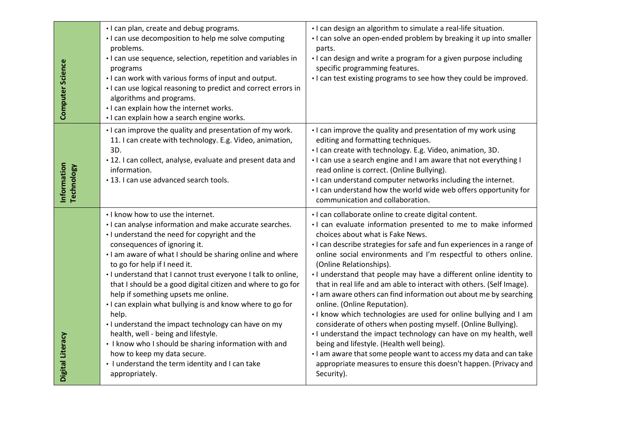| Computer Science                 | . I can plan, create and debug programs.<br>• I can use decomposition to help me solve computing<br>problems.<br>· I can use sequence, selection, repetition and variables in<br>programs<br>. I can work with various forms of input and output.<br>• I can use logical reasoning to predict and correct errors in<br>algorithms and programs.<br>• I can explain how the internet works.<br>· I can explain how a search engine works.                                                                                                                                                                                                                                                                                                                                           | · I can design an algorithm to simulate a real-life situation.<br>. I can solve an open-ended problem by breaking it up into smaller<br>parts.<br>• I can design and write a program for a given purpose including<br>specific programming features.<br>. I can test existing programs to see how they could be improved.                                                                                                                                                                                                                                                                                                                                                                                                                                                                                                                                                                                                                                                                            |
|----------------------------------|------------------------------------------------------------------------------------------------------------------------------------------------------------------------------------------------------------------------------------------------------------------------------------------------------------------------------------------------------------------------------------------------------------------------------------------------------------------------------------------------------------------------------------------------------------------------------------------------------------------------------------------------------------------------------------------------------------------------------------------------------------------------------------|------------------------------------------------------------------------------------------------------------------------------------------------------------------------------------------------------------------------------------------------------------------------------------------------------------------------------------------------------------------------------------------------------------------------------------------------------------------------------------------------------------------------------------------------------------------------------------------------------------------------------------------------------------------------------------------------------------------------------------------------------------------------------------------------------------------------------------------------------------------------------------------------------------------------------------------------------------------------------------------------------|
| Information<br><b>Technology</b> | . I can improve the quality and presentation of my work.<br>11. I can create with technology. E.g. Video, animation,<br>3D.<br>· 12. I can collect, analyse, evaluate and present data and<br>information.<br>• 13. I can use advanced search tools.                                                                                                                                                                                                                                                                                                                                                                                                                                                                                                                               | . I can improve the quality and presentation of my work using<br>editing and formatting techniques.<br>· I can create with technology. E.g. Video, animation, 3D.<br>. I can use a search engine and I am aware that not everything I<br>read online is correct. (Online Bullying).<br>. I can understand computer networks including the internet.<br>. I can understand how the world wide web offers opportunity for<br>communication and collaboration.                                                                                                                                                                                                                                                                                                                                                                                                                                                                                                                                          |
| Digital Literacy                 | . I know how to use the internet.<br>· I can analyse information and make accurate searches.<br>. I understand the need for copyright and the<br>consequences of ignoring it.<br>. I am aware of what I should be sharing online and where<br>to go for help if I need it.<br>. I understand that I cannot trust everyone I talk to online,<br>that I should be a good digital citizen and where to go for<br>help if something upsets me online.<br>. I can explain what bullying is and know where to go for<br>help.<br>• I understand the impact technology can have on my<br>health, well - being and lifestyle.<br>• I know who I should be sharing information with and<br>how to keep my data secure.<br>• I understand the term identity and I can take<br>appropriately. | · I can collaborate online to create digital content.<br>· I can evaluate information presented to me to make informed<br>choices about what is Fake News.<br>· I can describe strategies for safe and fun experiences in a range of<br>online social environments and I'm respectful to others online.<br>(Online Relationships).<br>. I understand that people may have a different online identity to<br>that in real life and am able to interact with others. (Self Image).<br>. I am aware others can find information out about me by searching<br>online. (Online Reputation).<br>. I know which technologies are used for online bullying and I am<br>considerate of others when posting myself. (Online Bullying).<br>. I understand the impact technology can have on my health, well<br>being and lifestyle. (Health well being).<br>. I am aware that some people want to access my data and can take<br>appropriate measures to ensure this doesn't happen. (Privacy and<br>Security). |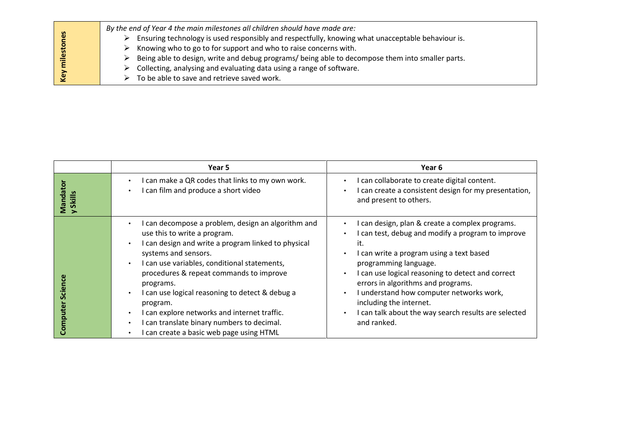|       | By the end of Year 4 the main milestones all children should have made are:                       |
|-------|---------------------------------------------------------------------------------------------------|
| es    | Ensuring technology is used responsibly and respectfully, knowing what unacceptable behaviour is. |
| lesto | $\triangleright$ Knowing who to go to for support and who to raise concerns with.                 |
|       | Being able to design, write and debug programs/ being able to decompose them into smaller parts.  |
|       | $\triangleright$ Collecting, analysing and evaluating data using a range of software.             |
| Key   | To be able to save and retrieve saved work.                                                       |

|                      | Year 5                                                                                                                                                                                                                                                                                                                                                                                                                                                                                                                                                                        | Year 6                                                                                                                                                                                                                                                                                                                                                                                                                    |
|----------------------|-------------------------------------------------------------------------------------------------------------------------------------------------------------------------------------------------------------------------------------------------------------------------------------------------------------------------------------------------------------------------------------------------------------------------------------------------------------------------------------------------------------------------------------------------------------------------------|---------------------------------------------------------------------------------------------------------------------------------------------------------------------------------------------------------------------------------------------------------------------------------------------------------------------------------------------------------------------------------------------------------------------------|
| Vlandato<br>y Skills | I can make a QR codes that links to my own work.<br>$\bullet$<br>I can film and produce a short video<br>$\bullet$                                                                                                                                                                                                                                                                                                                                                                                                                                                            | I can collaborate to create digital content.<br>I can create a consistent design for my presentation,<br>and present to others.                                                                                                                                                                                                                                                                                           |
|                      | I can decompose a problem, design an algorithm and<br>$\bullet$<br>use this to write a program.<br>I can design and write a program linked to physical<br>$\bullet$<br>systems and sensors.<br>I can use variables, conditional statements,<br>$\bullet$<br>procedures & repeat commands to improve<br>programs.<br>I can use logical reasoning to detect & debug a<br>$\bullet$<br>program.<br>I can explore networks and internet traffic.<br>$\bullet$<br>I can translate binary numbers to decimal.<br>$\bullet$<br>I can create a basic web page using HTML<br>$\bullet$ | I can design, plan & create a complex programs.<br>I can test, debug and modify a program to improve<br>it.<br>I can write a program using a text based<br>programming language.<br>I can use logical reasoning to detect and correct<br>errors in algorithms and programs.<br>I understand how computer networks work,<br>including the internet.<br>I can talk about the way search results are selected<br>and ranked. |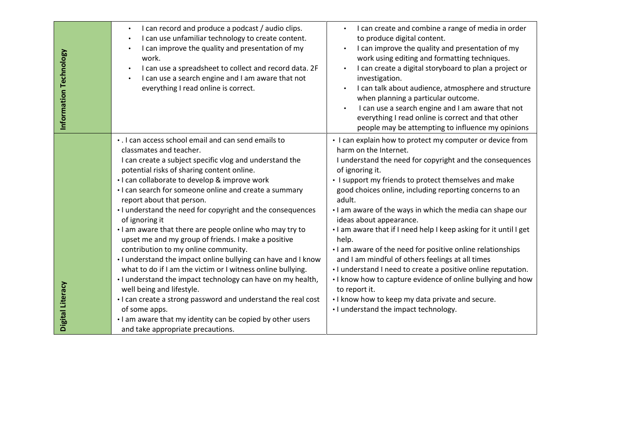| Information Technology | I can record and produce a podcast / audio clips.<br>$\bullet$<br>I can use unfamiliar technology to create content.<br>$\bullet$<br>I can improve the quality and presentation of my<br>$\bullet$<br>work.<br>I can use a spreadsheet to collect and record data. 2F<br>$\bullet$<br>I can use a search engine and I am aware that not<br>$\bullet$<br>everything I read online is correct.                                                                                                                                                                                                                                                                                                                                                                                                                                                                                                                                                                                               | I can create and combine a range of media in order<br>$\bullet$<br>to produce digital content.<br>I can improve the quality and presentation of my<br>work using editing and formatting techniques.<br>I can create a digital storyboard to plan a project or<br>investigation.<br>I can talk about audience, atmosphere and structure<br>when planning a particular outcome.<br>I can use a search engine and I am aware that not<br>everything I read online is correct and that other<br>people may be attempting to influence my opinions                                                                                                                                                                                                                                                                                       |
|------------------------|--------------------------------------------------------------------------------------------------------------------------------------------------------------------------------------------------------------------------------------------------------------------------------------------------------------------------------------------------------------------------------------------------------------------------------------------------------------------------------------------------------------------------------------------------------------------------------------------------------------------------------------------------------------------------------------------------------------------------------------------------------------------------------------------------------------------------------------------------------------------------------------------------------------------------------------------------------------------------------------------|-------------------------------------------------------------------------------------------------------------------------------------------------------------------------------------------------------------------------------------------------------------------------------------------------------------------------------------------------------------------------------------------------------------------------------------------------------------------------------------------------------------------------------------------------------------------------------------------------------------------------------------------------------------------------------------------------------------------------------------------------------------------------------------------------------------------------------------|
| Digital Literacy       | . I can access school email and can send emails to<br>classmates and teacher.<br>I can create a subject specific vlog and understand the<br>potential risks of sharing content online.<br>· I can collaborate to develop & improve work<br>• I can search for someone online and create a summary<br>report about that person.<br>• I understand the need for copyright and the consequences<br>of ignoring it<br>. I am aware that there are people online who may try to<br>upset me and my group of friends. I make a positive<br>contribution to my online community.<br>. I understand the impact online bullying can have and I know<br>what to do if I am the victim or I witness online bullying.<br>. I understand the impact technology can have on my health,<br>well being and lifestyle.<br>• I can create a strong password and understand the real cost<br>of some apps.<br>. I am aware that my identity can be copied by other users<br>and take appropriate precautions. | • I can explain how to protect my computer or device from<br>harm on the Internet.<br>I understand the need for copyright and the consequences<br>of ignoring it.<br>• I support my friends to protect themselves and make<br>good choices online, including reporting concerns to an<br>adult.<br>. I am aware of the ways in which the media can shape our<br>ideas about appearance.<br>. I am aware that if I need help I keep asking for it until I get<br>help.<br>I am aware of the need for positive online relationships<br>and I am mindful of others feelings at all times<br>. I understand I need to create a positive online reputation.<br>. I know how to capture evidence of online bullying and how<br>to report it.<br>. I know how to keep my data private and secure.<br>• I understand the impact technology. |